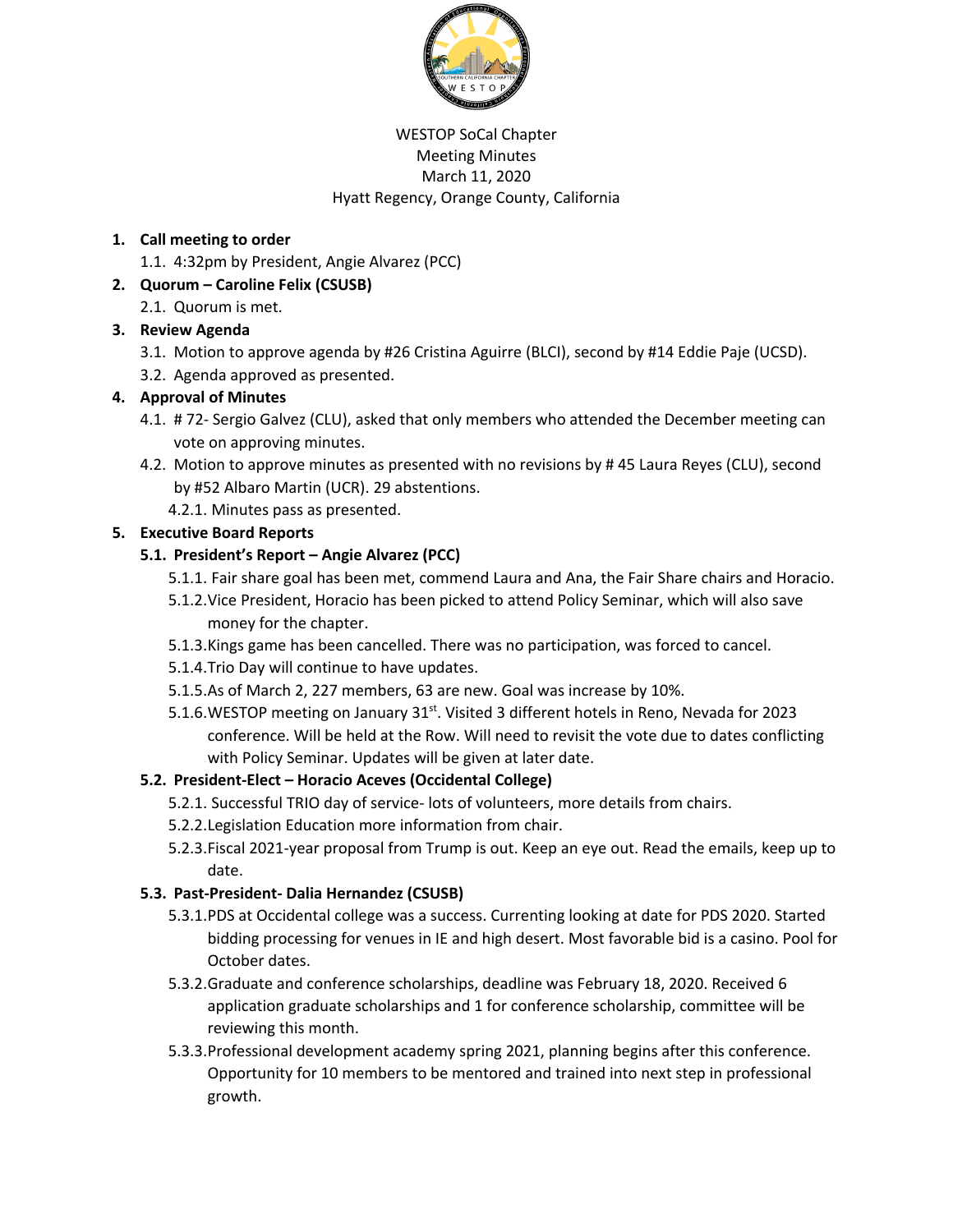

#### WESTOP SoCal Chapter Meeting Minutes March 11, 2020 Hyatt Regency, Orange County, California

## **1. Call meeting to order**

1.1. 4:32pm by President, Angie Alvarez (PCC)

# **2. Quorum – Caroline Felix (CSUSB)**

2.1. Quorum is met.

# **3. Review Agenda**

- 3.1. Motion to approve agenda by #26 Cristina Aguirre (BLCI), second by #14 Eddie Paje (UCSD).
- 3.2. Agenda approved as presented.

### **4. Approval of Minutes**

- 4.1. # 72- Sergio Galvez (CLU), asked that only members who attended the December meeting can vote on approving minutes.
- 4.2. Motion to approve minutes as presented with no revisions by # 45 Laura Reyes (CLU), second by #52 Albaro Martin (UCR). 29 abstentions.
	- 4.2.1. Minutes pass as presented.

# **5. Executive Board Reports**

### **5.1. President's Report – Angie Alvarez (PCC)**

- 5.1.1. Fair share goal has been met, commend Laura and Ana, the Fair Share chairs and Horacio.
- 5.1.2.Vice President, Horacio has been picked to attend Policy Seminar, which will also save money for the chapter.
- 5.1.3.Kings game has been cancelled. There was no participation, was forced to cancel.
- 5.1.4.Trio Day will continue to have updates.
- 5.1.5.As of March 2, 227 members, 63 are new. Goal was increase by 10%.
- 5.1.6. WESTOP meeting on January 31<sup>st</sup>. Visited 3 different hotels in Reno, Nevada for 2023 conference. Will be held at the Row. Will need to revisit the vote due to dates conflicting with Policy Seminar. Updates will be given at later date.

# **5.2. President-Elect – Horacio Aceves (Occidental College)**

- 5.2.1. Successful TRIO day of service- lots of volunteers, more details from chairs.
- 5.2.2.Legislation Education more information from chair.
- 5.2.3.Fiscal 2021-year proposal from Trump is out. Keep an eye out. Read the emails, keep up to date.

#### **5.3. Past-President- Dalia Hernandez (CSUSB)**

- 5.3.1.PDS at Occidental college was a success. Currenting looking at date for PDS 2020. Started bidding processing for venues in IE and high desert. Most favorable bid is a casino. Pool for October dates.
- 5.3.2.Graduate and conference scholarships, deadline was February 18, 2020. Received 6 application graduate scholarships and 1 for conference scholarship, committee will be reviewing this month.
- 5.3.3.Professional development academy spring 2021, planning begins after this conference. Opportunity for 10 members to be mentored and trained into next step in professional growth.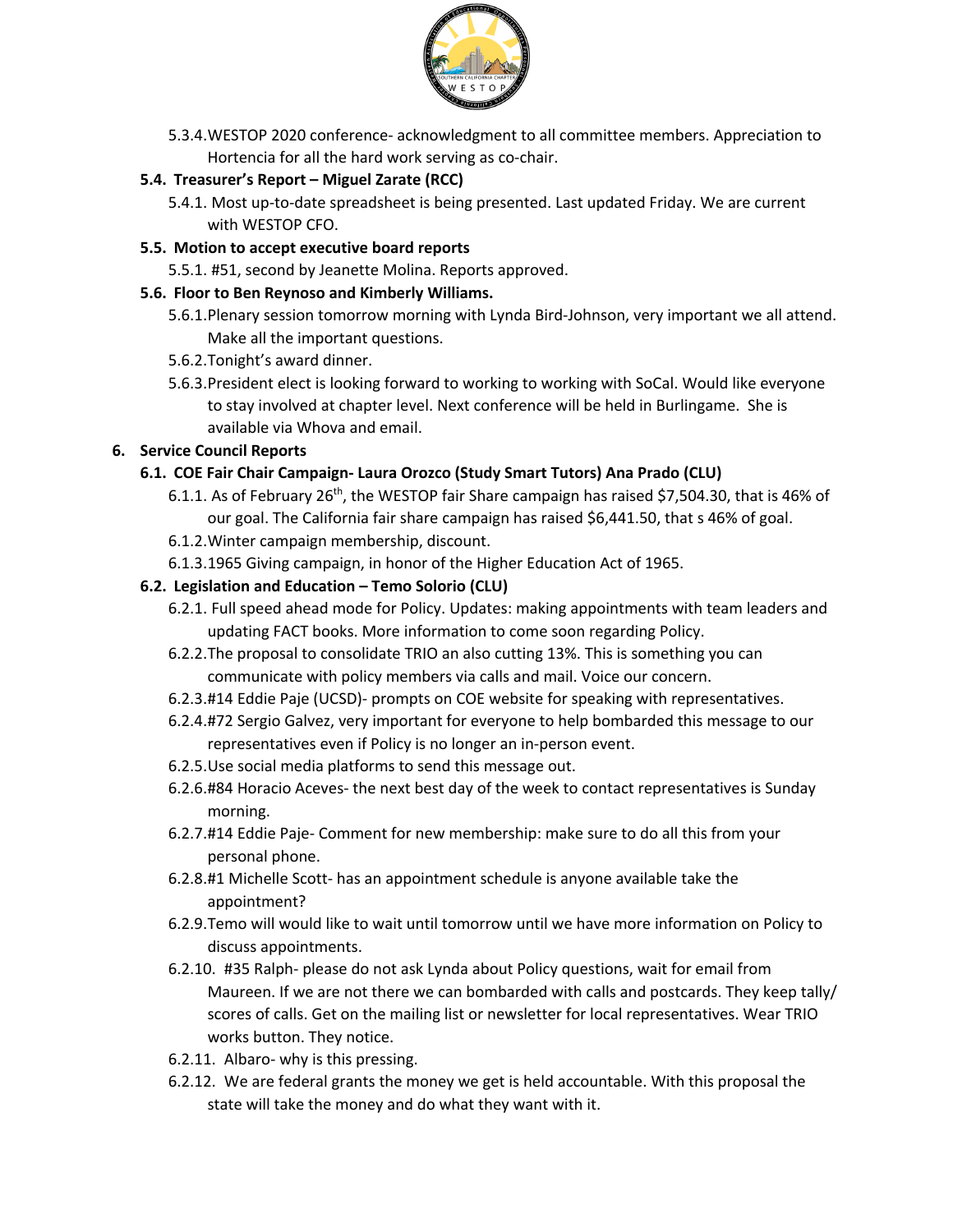

5.3.4.WESTOP 2020 conference- acknowledgment to all committee members. Appreciation to Hortencia for all the hard work serving as co-chair.

## **5.4. Treasurer's Report – Miguel Zarate (RCC)**

- 5.4.1. Most up-to-date spreadsheet is being presented. Last updated Friday. We are current with WESTOP CFO.
- **5.5. Motion to accept executive board reports**
	- 5.5.1. #51, second by Jeanette Molina. Reports approved.

#### **5.6. Floor to Ben Reynoso and Kimberly Williams.**

- 5.6.1.Plenary session tomorrow morning with Lynda Bird-Johnson, very important we all attend. Make all the important questions.
- 5.6.2.Tonight's award dinner.
- 5.6.3.President elect is looking forward to working to working with SoCal. Would like everyone to stay involved at chapter level. Next conference will be held in Burlingame. She is available via Whova and email.

#### **6. Service Council Reports**

#### **6.1. COE Fair Chair Campaign- Laura Orozco (Study Smart Tutors) Ana Prado (CLU)**

- 6.1.1. As of February 26<sup>th</sup>, the WESTOP fair Share campaign has raised \$7,504.30, that is 46% of our goal. The California fair share campaign has raised \$6,441.50, that s 46% of goal.
- 6.1.2.Winter campaign membership, discount.
- 6.1.3.1965 Giving campaign, in honor of the Higher Education Act of 1965.

#### **6.2. Legislation and Education – Temo Solorio (CLU)**

- 6.2.1. Full speed ahead mode for Policy. Updates: making appointments with team leaders and updating FACT books. More information to come soon regarding Policy.
- 6.2.2.The proposal to consolidate TRIO an also cutting 13%. This is something you can communicate with policy members via calls and mail. Voice our concern.
- 6.2.3.#14 Eddie Paje (UCSD)- prompts on COE website for speaking with representatives.
- 6.2.4.#72 Sergio Galvez, very important for everyone to help bombarded this message to our representatives even if Policy is no longer an in-person event.
- 6.2.5.Use social media platforms to send this message out.
- 6.2.6.#84 Horacio Aceves- the next best day of the week to contact representatives is Sunday morning.
- 6.2.7.#14 Eddie Paje- Comment for new membership: make sure to do all this from your personal phone.
- 6.2.8.#1 Michelle Scott- has an appointment schedule is anyone available take the appointment?
- 6.2.9.Temo will would like to wait until tomorrow until we have more information on Policy to discuss appointments.
- 6.2.10. #35 Ralph- please do not ask Lynda about Policy questions, wait for email from Maureen. If we are not there we can bombarded with calls and postcards. They keep tally/ scores of calls. Get on the mailing list or newsletter for local representatives. Wear TRIO works button. They notice.
- 6.2.11. Albaro- why is this pressing.
- 6.2.12. We are federal grants the money we get is held accountable. With this proposal the state will take the money and do what they want with it.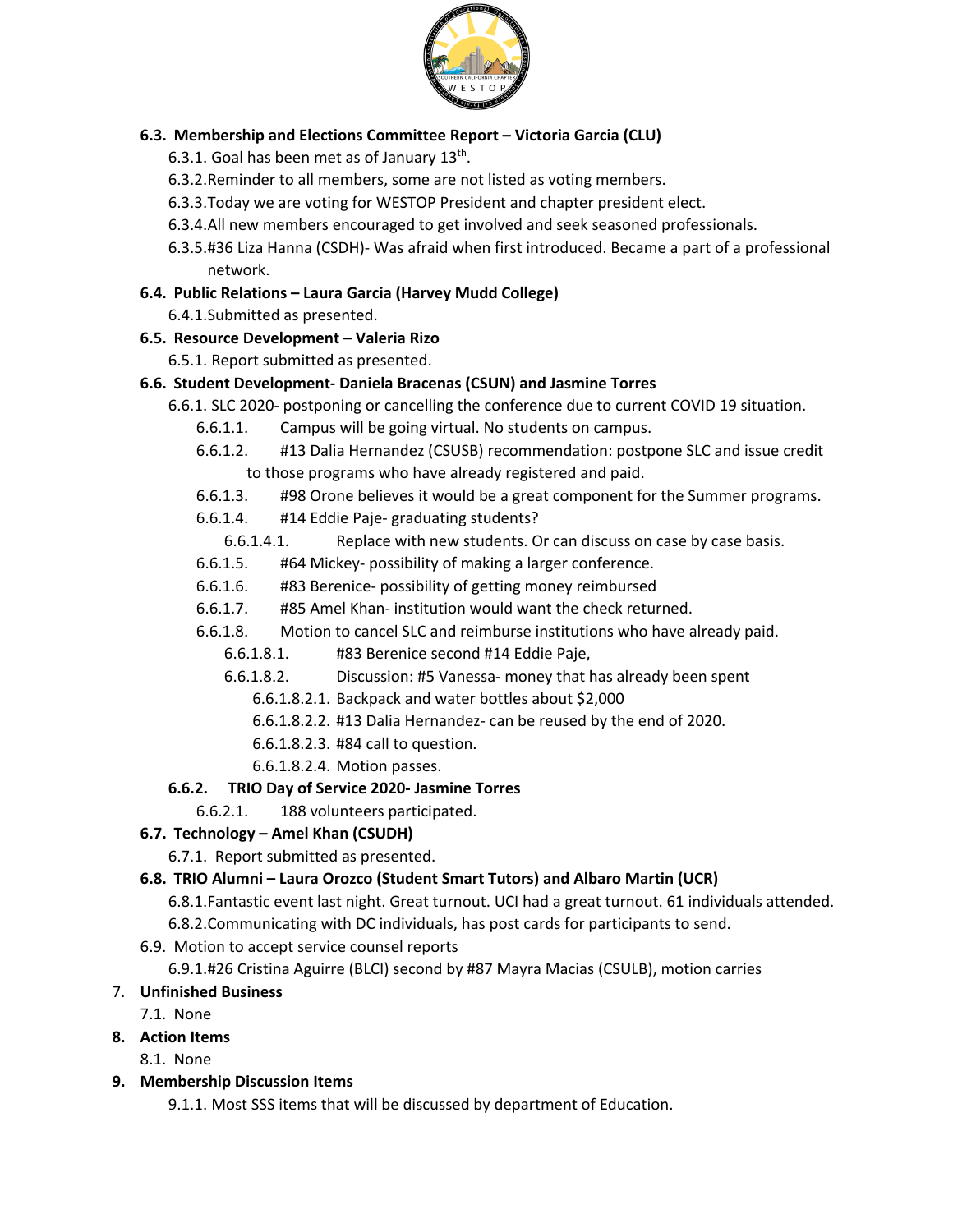

### **6.3. Membership and Elections Committee Report – Victoria Garcia (CLU)**

- 6.3.1. Goal has been met as of January  $13^{th}$ .
- 6.3.2.Reminder to all members, some are not listed as voting members.
- 6.3.3.Today we are voting for WESTOP President and chapter president elect.
- 6.3.4.All new members encouraged to get involved and seek seasoned professionals.
- 6.3.5.#36 Liza Hanna (CSDH)- Was afraid when first introduced. Became a part of a professional network.
- **6.4. Public Relations – Laura Garcia (Harvey Mudd College)**
	- 6.4.1.Submitted as presented.

#### **6.5. Resource Development – Valeria Rizo**

6.5.1. Report submitted as presented.

### **6.6. Student Development- Daniela Bracenas (CSUN) and Jasmine Torres**

- 6.6.1. SLC 2020- postponing or cancelling the conference due to current COVID 19 situation.
	- 6.6.1.1. Campus will be going virtual. No students on campus.
	- 6.6.1.2. #13 Dalia Hernandez (CSUSB) recommendation: postpone SLC and issue credit to those programs who have already registered and paid.
	- 6.6.1.3. #98 Orone believes it would be a great component for the Summer programs.
	- 6.6.1.4. #14 Eddie Paje- graduating students?
		- 6.6.1.4.1. Replace with new students. Or can discuss on case by case basis.
	- 6.6.1.5. #64 Mickey- possibility of making a larger conference.
	- 6.6.1.6. #83 Berenice- possibility of getting money reimbursed
	- 6.6.1.7. #85 Amel Khan- institution would want the check returned.
	- 6.6.1.8. Motion to cancel SLC and reimburse institutions who have already paid.
		- 6.6.1.8.1. #83 Berenice second #14 Eddie Paje,
		- 6.6.1.8.2. Discussion: #5 Vanessa- money that has already been spent
			- 6.6.1.8.2.1. Backpack and water bottles about \$2,000
			- 6.6.1.8.2.2. #13 Dalia Hernandez- can be reused by the end of 2020.
			- 6.6.1.8.2.3. #84 call to question.
			- 6.6.1.8.2.4. Motion passes.

#### **6.6.2. TRIO Day of Service 2020- Jasmine Torres**

6.6.2.1. 188 volunteers participated.

### **6.7. Technology – Amel Khan (CSUDH)**

6.7.1. Report submitted as presented.

#### **6.8. TRIO Alumni – Laura Orozco (Student Smart Tutors) and Albaro Martin (UCR)**

- 6.8.1.Fantastic event last night. Great turnout. UCI had a great turnout. 61 individuals attended.
- 6.8.2.Communicating with DC individuals, has post cards for participants to send.
- 6.9. Motion to accept service counsel reports

# 6.9.1.#26 Cristina Aguirre (BLCI) second by #87 Mayra Macias (CSULB), motion carries

#### 7. **Unfinished Business**

7.1. None

#### **8. Action Items**

8.1. None

**9. Membership Discussion Items**

9.1.1. Most SSS items that will be discussed by department of Education.